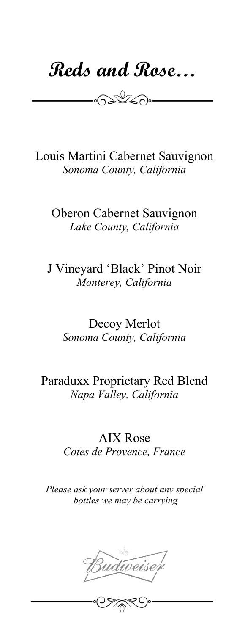**Reds and Rose…**

 $\begin{picture}(20,20) \put(0,0){\line(1,0){10}} \put(15,0){\line(1,0){10}} \put(15,0){\line(1,0){10}} \put(15,0){\line(1,0){10}} \put(15,0){\line(1,0){10}} \put(15,0){\line(1,0){10}} \put(15,0){\line(1,0){10}} \put(15,0){\line(1,0){10}} \put(15,0){\line(1,0){10}} \put(15,0){\line(1,0){10}} \put(15,0){\line(1,0){10}} \put(15,0){\line(1$ 

Louis Martini Cabernet Sauvignon *Sonoma County, California*

Oberon Cabernet Sauvignon *Lake County, California*

J Vineyard 'Black' Pinot Noir *Monterey, California*

Decoy Merlot *Sonoma County, California*

# Paraduxx Proprietary Red Blend *Napa Valley, California*

AIX Rose *Cotes de Provence, France*

*Please ask your server about any special bottles we may be carrying*

Budweiser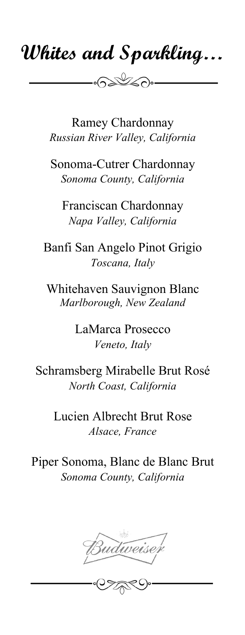# **Whites and Sparkling…**

 $\frac{1}{\sqrt{2\pi}}\int_{0}^{\sqrt{2\pi}}\sqrt{1-\left(\frac{1}{\sqrt{2\pi}}\right)^{2}}\sqrt{1-\left(\frac{1}{\sqrt{2\pi}}\right)^{2}}\sqrt{1-\left(\frac{1}{\sqrt{2\pi}}\right)^{2}}\sqrt{1-\left(\frac{1}{\sqrt{2\pi}}\right)^{2}}\sqrt{1-\left(\frac{1}{\sqrt{2\pi}}\right)^{2}}\sqrt{1-\left(\frac{1}{\sqrt{2\pi}}\right)^{2}}\sqrt{1-\left(\frac{1}{\sqrt{2\pi}}\right)^{2}}\sqrt{1-\left(\frac{1}{\sqrt{2\pi}}\right)^{2}}\sqrt{$ 

Ramey Chardonnay *Russian River Valley, California*

Sonoma-Cutrer Chardonnay *Sonoma County, California*

Franciscan Chardonnay *Napa Valley, California*

Banfi San Angelo Pinot Grigio *Toscana, Italy*

Whitehaven Sauvignon Blanc *Marlborough, New Zealand*

> LaMarca Prosecco *Veneto, Italy*

Schramsberg Mirabelle Brut Rosé *North Coast, California*

Lucien Albrecht Brut Rose *Alsace, France*

Piper Sonoma, Blanc de Blanc Brut *Sonoma County, California*

Budweiser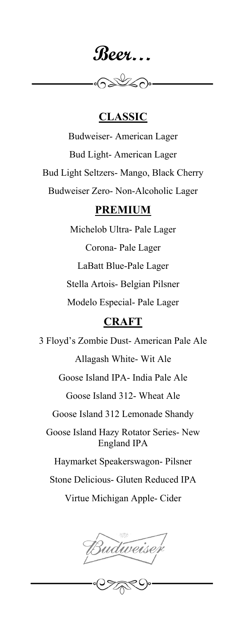**Beer…**

 $\odot$ 

## **CLASSIC**

Budweiser- American Lager Bud Light- American Lager Bud Light Seltzers- Mango, Black Cherry Budweiser Zero- Non-Alcoholic Lager

#### **PREMIUM**

Michelob Ultra- Pale Lager Corona- Pale Lager LaBatt Blue-Pale Lager Stella Artois- Belgian Pilsner Modelo Especial- Pale Lager

## **CRAFT**

3 Floyd's Zombie Dust- American Pale Ale Allagash White- Wit Ale Goose Island IPA- India Pale Ale Goose Island 312- Wheat Ale Goose Island 312 Lemonade Shandy Goose Island Hazy Rotator Series- New England IPA Haymarket Speakerswagon- Pilsner Stone Delicious- Gluten Reduced IPA

Virtue Michigan Apple- Cider

Budweiser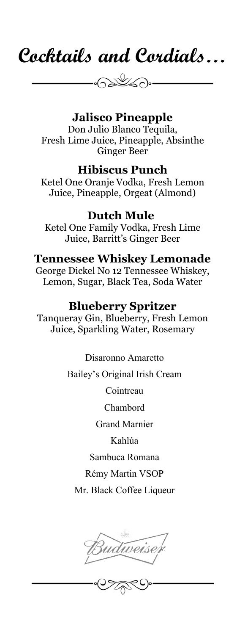

# **Jalisco Pineapple**

Don Julio Blanco Tequila, Fresh Lime Juice, Pineapple, Absinthe Ginger Beer

## **Hibiscus Punch**

Ketel One Oranje Vodka, Fresh Lemon Juice, Pineapple, Orgeat (Almond)

## **Dutch Mule**

Ketel One Family Vodka, Fresh Lime Juice, Barritt's Ginger Beer

## **Tennessee Whiskey Lemonade**

George Dickel No 12 Tennessee Whiskey, Lemon, Sugar, Black Tea, Soda Water

#### **Blueberry Spritzer**

Tanqueray Gin, Blueberry, Fresh Lemon Juice, Sparkling Water, Rosemary

#### Disaronno Amaretto

Bailey's Original Irish Cream

Cointreau

Chambord

Grand Marnier

Kahlúa

#### Sambuca Romana

Rémy Martin VSOP

Mr. Black Coffee Liqueur